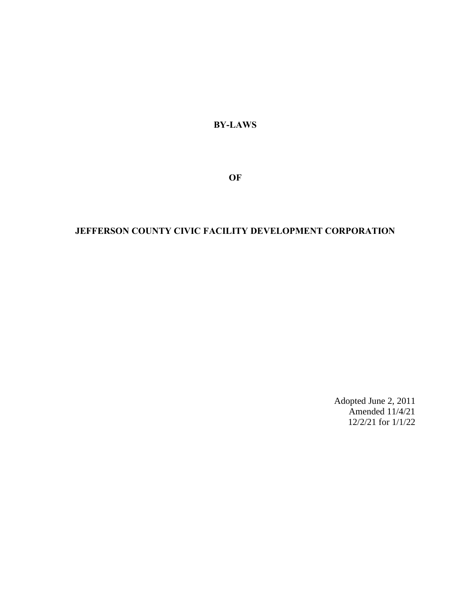**BY-LAWS**

**OF**

# **JEFFERSON COUNTY CIVIC FACILITY DEVELOPMENT CORPORATION**

Adopted June 2, 2011 Amended  $11/4/21$ 12/2/21 for 1/1/22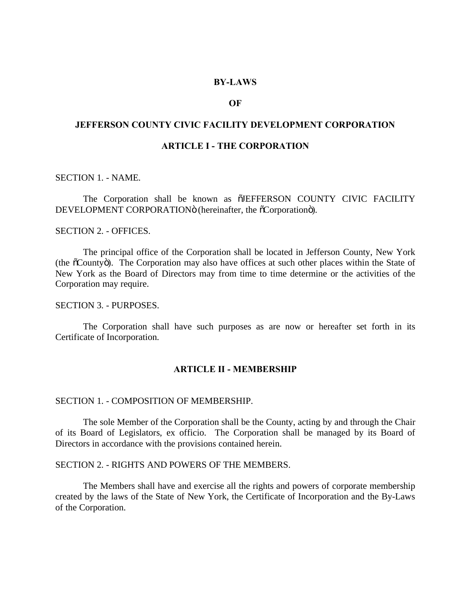## **BY-LAWS**

# **OF**

# **JEFFERSON COUNTY CIVIC FACILITY DEVELOPMENT CORPORATION**

# **ARTICLE I - THE CORPORATION**

SECTION 1. - NAME.

The Corporation shall be known as  $\tilde{O}$  UEFFERSON COUNTY CIVIC FACILITY DEVELOPMENT CORPORATION<sub>O</sub> (hereinafter, the  $\tilde{0}$ Corporation<sub>o</sub>).

#### SECTION 2. - OFFICES.

The principal office of the Corporation shall be located in Jefferson County, New York (the  $\tilde{\text{o}}$ Countyö). The Corporation may also have offices at such other places within the State of New York as the Board of Directors may from time to time determine or the activities of the Corporation may require.

# SECTION 3. - PURPOSES.

The Corporation shall have such purposes as are now or hereafter set forth in its Certificate of Incorporation.

#### **ARTICLE II - MEMBERSHIP**

#### SECTION 1. - COMPOSITION OF MEMBERSHIP.

The sole Member of the Corporation shall be the County, acting by and through the Chair of its Board of Legislators, ex officio. The Corporation shall be managed by its Board of Directors in accordance with the provisions contained herein.

# SECTION 2. - RIGHTS AND POWERS OF THE MEMBERS.

The Members shall have and exercise all the rights and powers of corporate membership created by the laws of the State of New York, the Certificate of Incorporation and the By-Laws of the Corporation.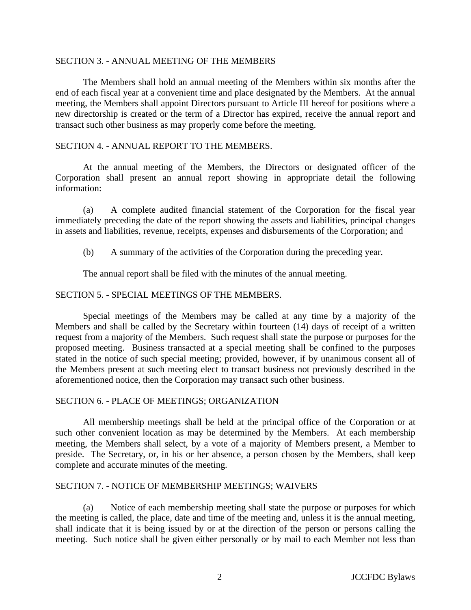# SECTION 3. - ANNUAL MEETING OF THE MEMBERS

The Members shall hold an annual meeting of the Members within six months after the end of each fiscal year at a convenient time and place designated by the Members. At the annual meeting, the Members shall appoint Directors pursuant to Article III hereof for positions where a new directorship is created or the term of a Director has expired, receive the annual report and transact such other business as may properly come before the meeting.

# SECTION 4. - ANNUAL REPORT TO THE MEMBERS.

At the annual meeting of the Members, the Directors or designated officer of the Corporation shall present an annual report showing in appropriate detail the following information:

(a) A complete audited financial statement of the Corporation for the fiscal year immediately preceding the date of the report showing the assets and liabilities, principal changes in assets and liabilities, revenue, receipts, expenses and disbursements of the Corporation; and

(b) A summary of the activities of the Corporation during the preceding year.

The annual report shall be filed with the minutes of the annual meeting.

# SECTION 5. - SPECIAL MEETINGS OF THE MEMBERS.

Special meetings of the Members may be called at any time by a majority of the Members and shall be called by the Secretary within fourteen (14) days of receipt of a written request from a majority of the Members. Such request shall state the purpose or purposes for the proposed meeting. Business transacted at a special meeting shall be confined to the purposes stated in the notice of such special meeting; provided, however, if by unanimous consent all of the Members present at such meeting elect to transact business not previously described in the aforementioned notice, then the Corporation may transact such other business.

# SECTION 6. - PLACE OF MEETINGS; ORGANIZATION

All membership meetings shall be held at the principal office of the Corporation or at such other convenient location as may be determined by the Members. At each membership meeting, the Members shall select, by a vote of a majority of Members present, a Member to preside. The Secretary, or, in his or her absence, a person chosen by the Members, shall keep complete and accurate minutes of the meeting.

### SECTION 7. - NOTICE OF MEMBERSHIP MEETINGS; WAIVERS

(a) Notice of each membership meeting shall state the purpose or purposes for which the meeting is called, the place, date and time of the meeting and, unless it is the annual meeting, shall indicate that it is being issued by or at the direction of the person or persons calling the meeting. Such notice shall be given either personally or by mail to each Member not less than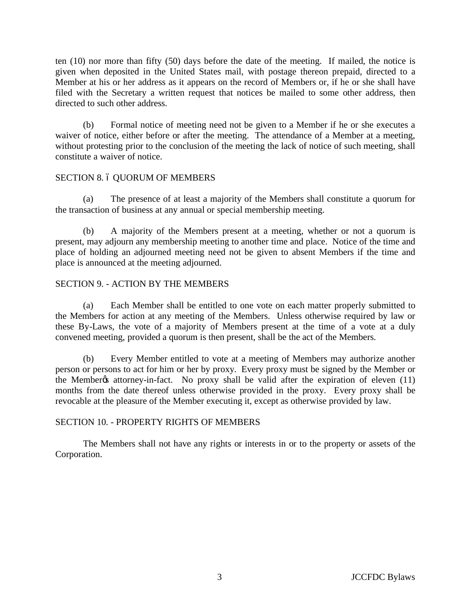ten (10) nor more than fifty (50) days before the date of the meeting. If mailed, the notice is given when deposited in the United States mail, with postage thereon prepaid, directed to a Member at his or her address as it appears on the record of Members or, if he or she shall have filed with the Secretary a written request that notices be mailed to some other address, then directed to such other address.

(b) Formal notice of meeting need not be given to a Member if he or she executes a waiver of notice, either before or after the meeting. The attendance of a Member at a meeting, without protesting prior to the conclusion of the meeting the lack of notice of such meeting, shall constitute a waiver of notice.

# SECTION 8. 6 QUORUM OF MEMBERS

(a) The presence of at least a majority of the Members shall constitute a quorum for the transaction of business at any annual or special membership meeting.

(b) A majority of the Members present at a meeting, whether or not a quorum is present, may adjourn any membership meeting to another time and place. Notice of the time and place of holding an adjourned meeting need not be given to absent Members if the time and place is announced at the meeting adjourned.

# SECTION 9. - ACTION BY THE MEMBERS

(a) Each Member shall be entitled to one vote on each matter properly submitted to the Members for action at any meeting of the Members. Unless otherwise required by law or these By-Laws, the vote of a majority of Members present at the time of a vote at a duly convened meeting, provided a quorum is then present, shall be the act of the Members.

(b) Every Member entitled to vote at a meeting of Members may authorize another person or persons to act for him or her by proxy. Every proxy must be signed by the Member or the Member $\alpha$  attorney-in-fact. No proxy shall be valid after the expiration of eleven (11) months from the date thereof unless otherwise provided in the proxy. Every proxy shall be revocable at the pleasure of the Member executing it, except as otherwise provided by law.

# SECTION 10. - PROPERTY RIGHTS OF MEMBERS

The Members shall not have any rights or interests in or to the property or assets of the Corporation.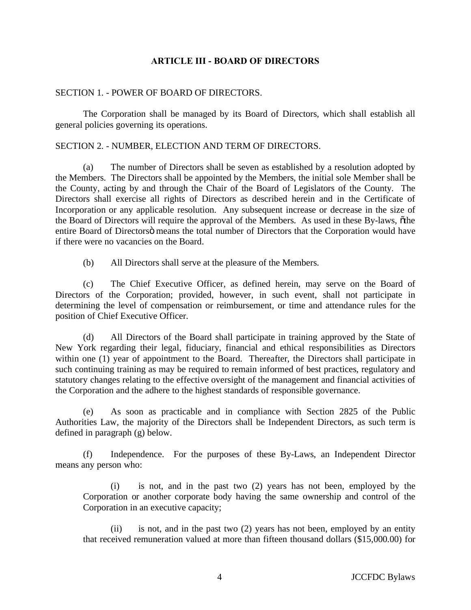# **ARTICLE III - BOARD OF DIRECTORS**

### SECTION 1. - POWER OF BOARD OF DIRECTORS.

The Corporation shall be managed by its Board of Directors, which shall establish all general policies governing its operations.

# SECTION 2. - NUMBER, ELECTION AND TERM OF DIRECTORS.

(a) The number of Directors shall be seven as established by a resolution adopted by the Members. The Directors shall be appointed by the Members, the initial sole Member shall be the County, acting by and through the Chair of the Board of Legislators of the County. The Directors shall exercise all rights of Directors as described herein and in the Certificate of Incorporation or any applicable resolution. Any subsequent increase or decrease in the size of the Board of Directors will require the approval of the Members. As used in these By-laws,  $\delta$ the entire Board of Directors i means the total number of Directors that the Corporation would have if there were no vacancies on the Board.

(b) All Directors shall serve at the pleasure of the Members.

(c) The Chief Executive Officer, as defined herein, may serve on the Board of Directors of the Corporation; provided, however, in such event, shall not participate in determining the level of compensation or reimbursement, or time and attendance rules for the position of Chief Executive Officer.

(d) All Directors of the Board shall participate in training approved by the State of New York regarding their legal, fiduciary, financial and ethical responsibilities as Directors within one (1) year of appointment to the Board. Thereafter, the Directors shall participate in such continuing training as may be required to remain informed of best practices, regulatory and statutory changes relating to the effective oversight of the management and financial activities of the Corporation and the adhere to the highest standards of responsible governance.

(e) As soon as practicable and in compliance with Section 2825 of the Public Authorities Law, the majority of the Directors shall be Independent Directors, as such term is defined in paragraph (g) below.

(f) Independence. For the purposes of these By-Laws, an Independent Director means any person who:

(i) is not, and in the past two (2) years has not been, employed by the Corporation or another corporate body having the same ownership and control of the Corporation in an executive capacity;

(ii) is not, and in the past two (2) years has not been, employed by an entity that received remuneration valued at more than fifteen thousand dollars (\$15,000.00) for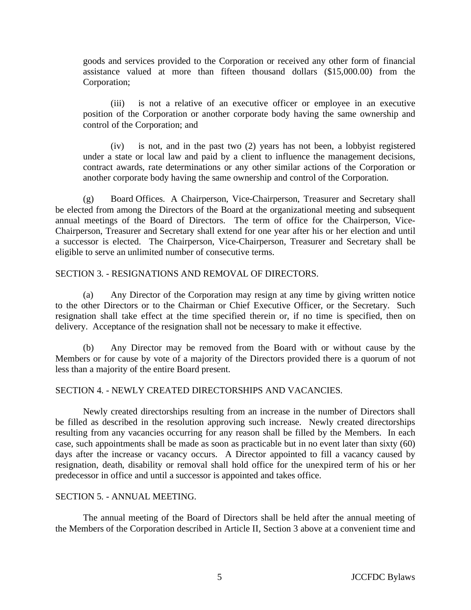goods and services provided to the Corporation or received any other form of financial assistance valued at more than fifteen thousand dollars (\$15,000.00) from the Corporation;

(iii) is not a relative of an executive officer or employee in an executive position of the Corporation or another corporate body having the same ownership and control of the Corporation; and

(iv) is not, and in the past two (2) years has not been, a lobbyist registered under a state or local law and paid by a client to influence the management decisions, contract awards, rate determinations or any other similar actions of the Corporation or another corporate body having the same ownership and control of the Corporation.

(g) Board Offices. A Chairperson, Vice-Chairperson, Treasurer and Secretary shall be elected from among the Directors of the Board at the organizational meeting and subsequent annual meetings of the Board of Directors. The term of office for the Chairperson, Vice-Chairperson, Treasurer and Secretary shall extend for one year after his or her election and until a successor is elected. The Chairperson, Vice-Chairperson, Treasurer and Secretary shall be eligible to serve an unlimited number of consecutive terms.

# SECTION 3. - RESIGNATIONS AND REMOVAL OF DIRECTORS.

(a) Any Director of the Corporation may resign at any time by giving written notice to the other Directors or to the Chairman or Chief Executive Officer, or the Secretary. Such resignation shall take effect at the time specified therein or, if no time is specified, then on delivery. Acceptance of the resignation shall not be necessary to make it effective.

(b) Any Director may be removed from the Board with or without cause by the Members or for cause by vote of a majority of the Directors provided there is a quorum of not less than a majority of the entire Board present.

# SECTION 4. - NEWLY CREATED DIRECTORSHIPS AND VACANCIES.

Newly created directorships resulting from an increase in the number of Directors shall be filled as described in the resolution approving such increase. Newly created directorships resulting from any vacancies occurring for any reason shall be filled by the Members. In each case, such appointments shall be made as soon as practicable but in no event later than sixty (60) days after the increase or vacancy occurs. A Director appointed to fill a vacancy caused by resignation, death, disability or removal shall hold office for the unexpired term of his or her predecessor in office and until a successor is appointed and takes office.

# SECTION 5. - ANNUAL MEETING.

The annual meeting of the Board of Directors shall be held after the annual meeting of the Members of the Corporation described in Article II, Section 3 above at a convenient time and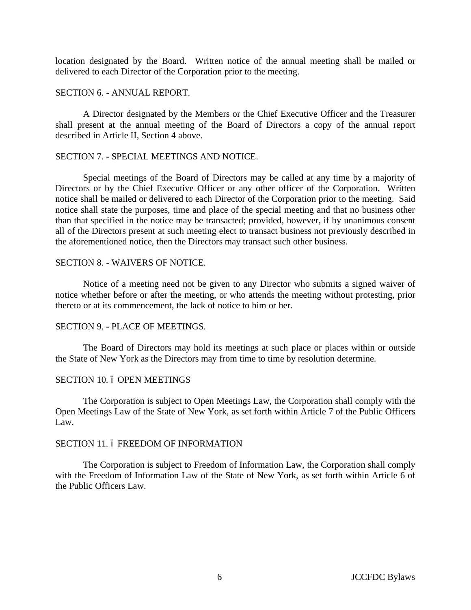location designated by the Board. Written notice of the annual meeting shall be mailed or delivered to each Director of the Corporation prior to the meeting.

#### SECTION 6. - ANNUAL REPORT.

A Director designated by the Members or the Chief Executive Officer and the Treasurer shall present at the annual meeting of the Board of Directors a copy of the annual report described in Article II, Section 4 above.

# SECTION 7. - SPECIAL MEETINGS AND NOTICE.

Special meetings of the Board of Directors may be called at any time by a majority of Directors or by the Chief Executive Officer or any other officer of the Corporation. Written notice shall be mailed or delivered to each Director of the Corporation prior to the meeting. Said notice shall state the purposes, time and place of the special meeting and that no business other than that specified in the notice may be transacted; provided, however, if by unanimous consent all of the Directors present at such meeting elect to transact business not previously described in the aforementioned notice, then the Directors may transact such other business.

### SECTION 8. - WAIVERS OF NOTICE.

Notice of a meeting need not be given to any Director who submits a signed waiver of notice whether before or after the meeting, or who attends the meeting without protesting, prior thereto or at its commencement, the lack of notice to him or her.

# SECTION 9. - PLACE OF MEETINGS.

The Board of Directors may hold its meetings at such place or places within or outside the State of New York as the Directors may from time to time by resolution determine.

### SECTION 10. 6 OPEN MEETINGS

The Corporation is subject to Open Meetings Law, the Corporation shall comply with the Open Meetings Law of the State of New York, as set forth within Article 7 of the Public Officers Law.

### SECTION 11. 6 FREEDOM OF INFORMATION

The Corporation is subject to Freedom of Information Law, the Corporation shall comply with the Freedom of Information Law of the State of New York, as set forth within Article 6 of the Public Officers Law.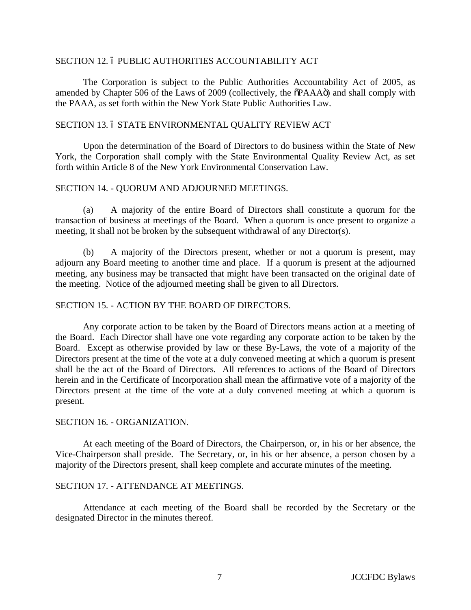### SECTION 12. 6 PUBLIC AUTHORITIES ACCOUNTABILITY ACT

The Corporation is subject to the Public Authorities Accountability Act of 2005, as amended by Chapter 506 of the Laws of 2009 (collectively, the  $\delta$ PAAA $\ddot{o}$ ) and shall comply with the PAAA, as set forth within the New York State Public Authorities Law.

#### SECTION 13. 6 STATE ENVIRONMENTAL QUALITY REVIEW ACT

Upon the determination of the Board of Directors to do business within the State of New York, the Corporation shall comply with the State Environmental Quality Review Act, as set forth within Article 8 of the New York Environmental Conservation Law.

### SECTION 14. - QUORUM AND ADJOURNED MEETINGS.

(a) A majority of the entire Board of Directors shall constitute a quorum for the transaction of business at meetings of the Board. When a quorum is once present to organize a meeting, it shall not be broken by the subsequent withdrawal of any Director(s).

(b) A majority of the Directors present, whether or not a quorum is present, may adjourn any Board meeting to another time and place. If a quorum is present at the adjourned meeting, any business may be transacted that might have been transacted on the original date of the meeting. Notice of the adjourned meeting shall be given to all Directors.

#### SECTION 15. - ACTION BY THE BOARD OF DIRECTORS.

Any corporate action to be taken by the Board of Directors means action at a meeting of the Board. Each Director shall have one vote regarding any corporate action to be taken by the Board. Except as otherwise provided by law or these By-Laws, the vote of a majority of the Directors present at the time of the vote at a duly convened meeting at which a quorum is present shall be the act of the Board of Directors. All references to actions of the Board of Directors herein and in the Certificate of Incorporation shall mean the affirmative vote of a majority of the Directors present at the time of the vote at a duly convened meeting at which a quorum is present.

#### SECTION 16. - ORGANIZATION.

At each meeting of the Board of Directors, the Chairperson, or, in his or her absence, the Vice-Chairperson shall preside. The Secretary, or, in his or her absence, a person chosen by a majority of the Directors present, shall keep complete and accurate minutes of the meeting.

#### SECTION 17. - ATTENDANCE AT MEETINGS.

Attendance at each meeting of the Board shall be recorded by the Secretary or the designated Director in the minutes thereof.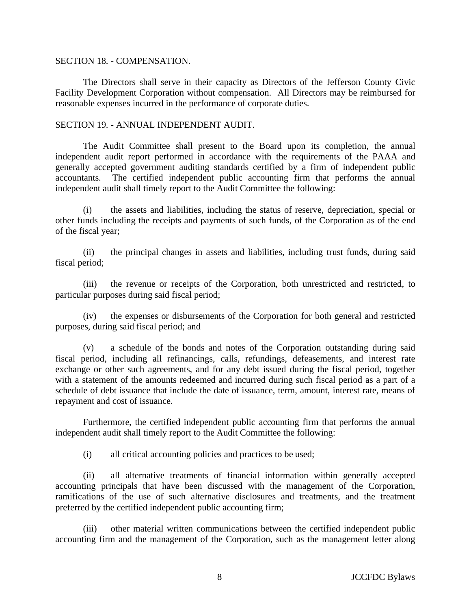#### SECTION 18. - COMPENSATION.

The Directors shall serve in their capacity as Directors of the Jefferson County Civic Facility Development Corporation without compensation. All Directors may be reimbursed for reasonable expenses incurred in the performance of corporate duties.

## SECTION 19. - ANNUAL INDEPENDENT AUDIT.

The Audit Committee shall present to the Board upon its completion, the annual independent audit report performed in accordance with the requirements of the PAAA and generally accepted government auditing standards certified by a firm of independent public accountants. The certified independent public accounting firm that performs the annual independent audit shall timely report to the Audit Committee the following:

(i) the assets and liabilities, including the status of reserve, depreciation, special or other funds including the receipts and payments of such funds, of the Corporation as of the end of the fiscal year;

(ii) the principal changes in assets and liabilities, including trust funds, during said fiscal period;

(iii) the revenue or receipts of the Corporation, both unrestricted and restricted, to particular purposes during said fiscal period;

(iv) the expenses or disbursements of the Corporation for both general and restricted purposes, during said fiscal period; and

(v) a schedule of the bonds and notes of the Corporation outstanding during said fiscal period, including all refinancings, calls, refundings, defeasements, and interest rate exchange or other such agreements, and for any debt issued during the fiscal period, together with a statement of the amounts redeemed and incurred during such fiscal period as a part of a schedule of debt issuance that include the date of issuance, term, amount, interest rate, means of repayment and cost of issuance.

Furthermore, the certified independent public accounting firm that performs the annual independent audit shall timely report to the Audit Committee the following:

(i) all critical accounting policies and practices to be used;

(ii) all alternative treatments of financial information within generally accepted accounting principals that have been discussed with the management of the Corporation, ramifications of the use of such alternative disclosures and treatments, and the treatment preferred by the certified independent public accounting firm;

(iii) other material written communications between the certified independent public accounting firm and the management of the Corporation, such as the management letter along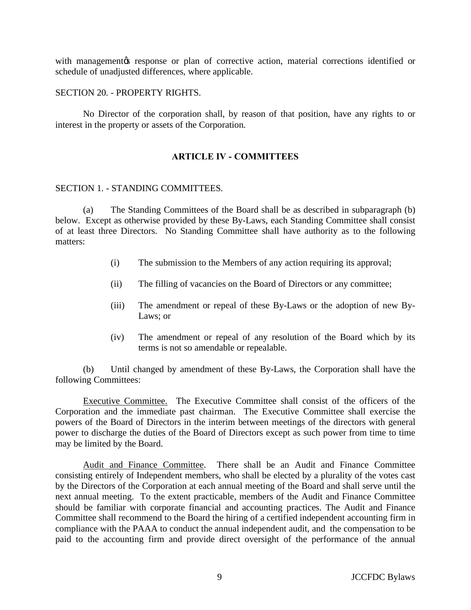with management ts response or plan of corrective action, material corrections identified or schedule of unadjusted differences, where applicable.

#### SECTION 20. - PROPERTY RIGHTS.

No Director of the corporation shall, by reason of that position, have any rights to or interest in the property or assets of the Corporation.

# **ARTICLE IV - COMMITTEES**

### SECTION 1. - STANDING COMMITTEES.

(a) The Standing Committees of the Board shall be as described in subparagraph (b) below. Except as otherwise provided by these By-Laws, each Standing Committee shall consist of at least three Directors. No Standing Committee shall have authority as to the following matters:

- (i) The submission to the Members of any action requiring its approval;
- (ii) The filling of vacancies on the Board of Directors or any committee;
- (iii) The amendment or repeal of these By-Laws or the adoption of new By-Laws; or
- (iv) The amendment or repeal of any resolution of the Board which by its terms is not so amendable or repealable.

(b) Until changed by amendment of these By-Laws, the Corporation shall have the following Committees:

Executive Committee. The Executive Committee shall consist of the officers of the Corporation and the immediate past chairman. The Executive Committee shall exercise the powers of the Board of Directors in the interim between meetings of the directors with general power to discharge the duties of the Board of Directors except as such power from time to time may be limited by the Board.

Audit and Finance Committee. There shall be an Audit and Finance Committee consisting entirely of Independent members, who shall be elected by a plurality of the votes cast by the Directors of the Corporation at each annual meeting of the Board and shall serve until the next annual meeting. To the extent practicable, members of the Audit and Finance Committee should be familiar with corporate financial and accounting practices. The Audit and Finance Committee shall recommend to the Board the hiring of a certified independent accounting firm in compliance with the PAAA to conduct the annual independent audit, and the compensation to be paid to the accounting firm and provide direct oversight of the performance of the annual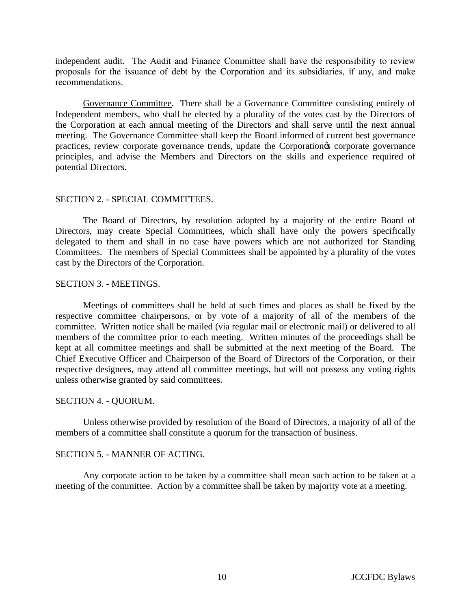independent audit. The Audit and Finance Committee shall have the responsibility to review proposals for the issuance of debt by the Corporation and its subsidiaries, if any, and make recommendations.

Governance Committee. There shall be a Governance Committee consisting entirely of Independent members, who shall be elected by a plurality of the votes cast by the Directors of the Corporation at each annual meeting of the Directors and shall serve until the next annual meeting. The Governance Committee shall keep the Board informed of current best governance practices, review corporate governance trends, update the Corporation<sub>os</sub> corporate governance principles, and advise the Members and Directors on the skills and experience required of potential Directors.

# SECTION 2. - SPECIAL COMMITTEES.

The Board of Directors, by resolution adopted by a majority of the entire Board of Directors, may create Special Committees, which shall have only the powers specifically delegated to them and shall in no case have powers which are not authorized for Standing Committees. The members of Special Committees shall be appointed by a plurality of the votes cast by the Directors of the Corporation.

# SECTION 3. - MEETINGS.

Meetings of committees shall be held at such times and places as shall be fixed by the respective committee chairpersons, or by vote of a majority of all of the members of the committee. Written notice shall be mailed (via regular mail or electronic mail) or delivered to all members of the committee prior to each meeting. Written minutes of the proceedings shall be kept at all committee meetings and shall be submitted at the next meeting of the Board. The Chief Executive Officer and Chairperson of the Board of Directors of the Corporation, or their respective designees, may attend all committee meetings, but will not possess any voting rights unless otherwise granted by said committees.

### SECTION 4. - QUORUM.

Unless otherwise provided by resolution of the Board of Directors, a majority of all of the members of a committee shall constitute a quorum for the transaction of business.

# SECTION 5. - MANNER OF ACTING.

Any corporate action to be taken by a committee shall mean such action to be taken at a meeting of the committee. Action by a committee shall be taken by majority vote at a meeting.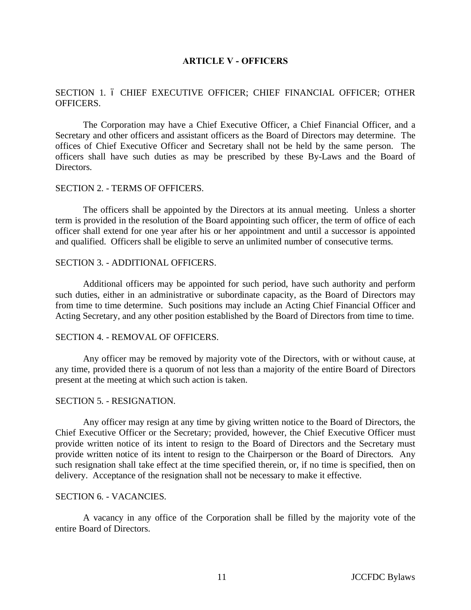### **ARTICLE V - OFFICERS**

# SECTION 1. 6 CHIEF EXECUTIVE OFFICER; CHIEF FINANCIAL OFFICER; OTHER OFFICERS.

The Corporation may have a Chief Executive Officer, a Chief Financial Officer, and a Secretary and other officers and assistant officers as the Board of Directors may determine. The offices of Chief Executive Officer and Secretary shall not be held by the same person. The officers shall have such duties as may be prescribed by these By-Laws and the Board of Directors.

# SECTION 2. - TERMS OF OFFICERS.

The officers shall be appointed by the Directors at its annual meeting. Unless a shorter term is provided in the resolution of the Board appointing such officer, the term of office of each officer shall extend for one year after his or her appointment and until a successor is appointed and qualified. Officers shall be eligible to serve an unlimited number of consecutive terms.

#### SECTION 3. - ADDITIONAL OFFICERS.

Additional officers may be appointed for such period, have such authority and perform such duties, either in an administrative or subordinate capacity, as the Board of Directors may from time to time determine. Such positions may include an Acting Chief Financial Officer and Acting Secretary, and any other position established by the Board of Directors from time to time.

#### SECTION 4. - REMOVAL OF OFFICERS.

Any officer may be removed by majority vote of the Directors, with or without cause, at any time, provided there is a quorum of not less than a majority of the entire Board of Directors present at the meeting at which such action is taken.

#### SECTION 5. - RESIGNATION.

Any officer may resign at any time by giving written notice to the Board of Directors, the Chief Executive Officer or the Secretary; provided, however, the Chief Executive Officer must provide written notice of its intent to resign to the Board of Directors and the Secretary must provide written notice of its intent to resign to the Chairperson or the Board of Directors. Any such resignation shall take effect at the time specified therein, or, if no time is specified, then on delivery. Acceptance of the resignation shall not be necessary to make it effective.

# SECTION 6. - VACANCIES.

A vacancy in any office of the Corporation shall be filled by the majority vote of the entire Board of Directors.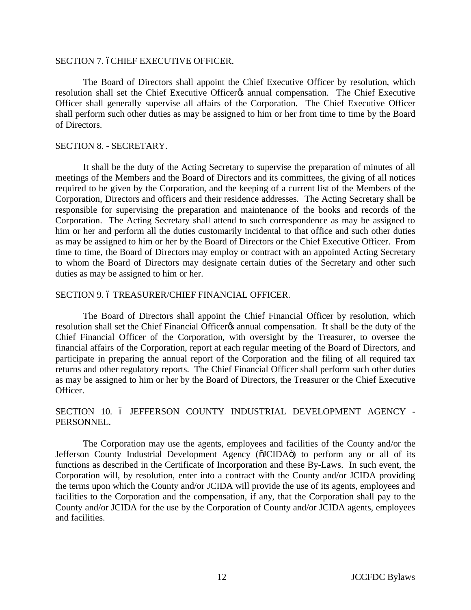#### SECTION 7. 6CHIEF EXECUTIVE OFFICER.

The Board of Directors shall appoint the Chief Executive Officer by resolution, which resolution shall set the Chief Executive Officer<sub>®</sub> annual compensation. The Chief Executive Officer shall generally supervise all affairs of the Corporation. The Chief Executive Officer shall perform such other duties as may be assigned to him or her from time to time by the Board of Directors.

#### SECTION 8. - SECRETARY.

It shall be the duty of the Acting Secretary to supervise the preparation of minutes of all meetings of the Members and the Board of Directors and its committees, the giving of all notices required to be given by the Corporation, and the keeping of a current list of the Members of the Corporation, Directors and officers and their residence addresses. The Acting Secretary shall be responsible for supervising the preparation and maintenance of the books and records of the Corporation. The Acting Secretary shall attend to such correspondence as may be assigned to him or her and perform all the duties customarily incidental to that office and such other duties as may be assigned to him or her by the Board of Directors or the Chief Executive Officer. From time to time, the Board of Directors may employ or contract with an appointed Acting Secretary to whom the Board of Directors may designate certain duties of the Secretary and other such duties as may be assigned to him or her.

#### SECTION 9.6 TREASURER/CHIEF FINANCIAL OFFICER.

The Board of Directors shall appoint the Chief Financial Officer by resolution, which resolution shall set the Chief Financial Officer<sub>®</sub> annual compensation. It shall be the duty of the Chief Financial Officer of the Corporation, with oversight by the Treasurer, to oversee the financial affairs of the Corporation, report at each regular meeting of the Board of Directors, and participate in preparing the annual report of the Corporation and the filing of all required tax returns and other regulatory reports. The Chief Financial Officer shall perform such other duties as may be assigned to him or her by the Board of Directors, the Treasurer or the Chief Executive Officer.

# SECTION 10. 6 JEFFERSON COUNTY INDUSTRIAL DEVELOPMENT AGENCY -PERSONNEL.

The Corporation may use the agents, employees and facilities of the County and/or the Jefferson County Industrial Development Agency ( $\tilde{o}$ JCIDA $\tilde{o}$ ) to perform any or all of its functions as described in the Certificate of Incorporation and these By-Laws. In such event, the Corporation will, by resolution, enter into a contract with the County and/or JCIDA providing the terms upon which the County and/or JCIDA will provide the use of its agents, employees and facilities to the Corporation and the compensation, if any, that the Corporation shall pay to the County and/or JCIDA for the use by the Corporation of County and/or JCIDA agents, employees and facilities.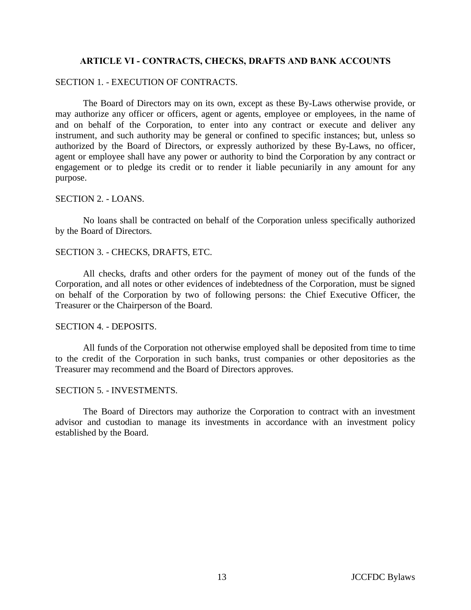# **ARTICLE VI - CONTRACTS, CHECKS, DRAFTS AND BANK ACCOUNTS**

# SECTION 1. - EXECUTION OF CONTRACTS.

The Board of Directors may on its own, except as these By-Laws otherwise provide, or may authorize any officer or officers, agent or agents, employee or employees, in the name of and on behalf of the Corporation, to enter into any contract or execute and deliver any instrument, and such authority may be general or confined to specific instances; but, unless so authorized by the Board of Directors, or expressly authorized by these By-Laws, no officer, agent or employee shall have any power or authority to bind the Corporation by any contract or engagement or to pledge its credit or to render it liable pecuniarily in any amount for any purpose.

# SECTION 2. - LOANS.

No loans shall be contracted on behalf of the Corporation unless specifically authorized by the Board of Directors.

### SECTION 3. - CHECKS, DRAFTS, ETC.

All checks, drafts and other orders for the payment of money out of the funds of the Corporation, and all notes or other evidences of indebtedness of the Corporation, must be signed on behalf of the Corporation by two of following persons: the Chief Executive Officer, the Treasurer or the Chairperson of the Board.

#### SECTION 4. - DEPOSITS.

All funds of the Corporation not otherwise employed shall be deposited from time to time to the credit of the Corporation in such banks, trust companies or other depositories as the Treasurer may recommend and the Board of Directors approves.

# SECTION 5. - INVESTMENTS.

The Board of Directors may authorize the Corporation to contract with an investment advisor and custodian to manage its investments in accordance with an investment policy established by the Board.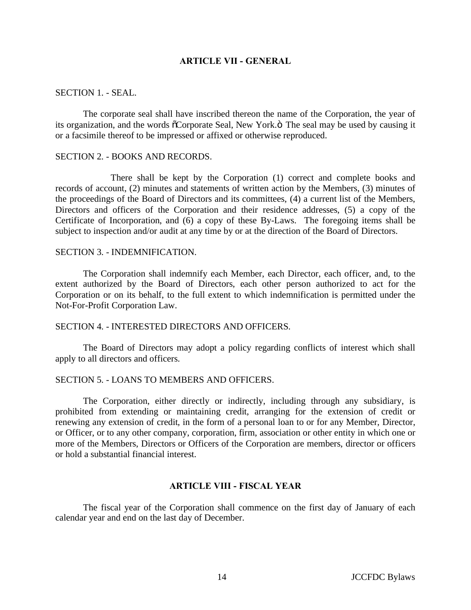### **ARTICLE VII - GENERAL**

#### SECTION 1. - SEAL.

The corporate seal shall have inscribed thereon the name of the Corporation, the year of its organization, and the words  $\tilde{o}$ Corporate Seal, New York. $\ddot{o}$  The seal may be used by causing it or a facsimile thereof to be impressed or affixed or otherwise reproduced.

#### SECTION 2. - BOOKS AND RECORDS.

There shall be kept by the Corporation (1) correct and complete books and records of account, (2) minutes and statements of written action by the Members, (3) minutes of the proceedings of the Board of Directors and its committees, (4) a current list of the Members, Directors and officers of the Corporation and their residence addresses, (5) a copy of the Certificate of Incorporation, and (6) a copy of these By-Laws. The foregoing items shall be subject to inspection and/or audit at any time by or at the direction of the Board of Directors.

# SECTION 3. - INDEMNIFICATION.

The Corporation shall indemnify each Member, each Director, each officer, and, to the extent authorized by the Board of Directors, each other person authorized to act for the Corporation or on its behalf, to the full extent to which indemnification is permitted under the Not-For-Profit Corporation Law.

### SECTION 4. - INTERESTED DIRECTORS AND OFFICERS.

The Board of Directors may adopt a policy regarding conflicts of interest which shall apply to all directors and officers.

### SECTION 5. - LOANS TO MEMBERS AND OFFICERS.

The Corporation, either directly or indirectly, including through any subsidiary, is prohibited from extending or maintaining credit, arranging for the extension of credit or renewing any extension of credit, in the form of a personal loan to or for any Member, Director, or Officer, or to any other company, corporation, firm, association or other entity in which one or more of the Members, Directors or Officers of the Corporation are members, director or officers or hold a substantial financial interest.

### **ARTICLE VIII - FISCAL YEAR**

The fiscal year of the Corporation shall commence on the first day of January of each calendar year and end on the last day of December.